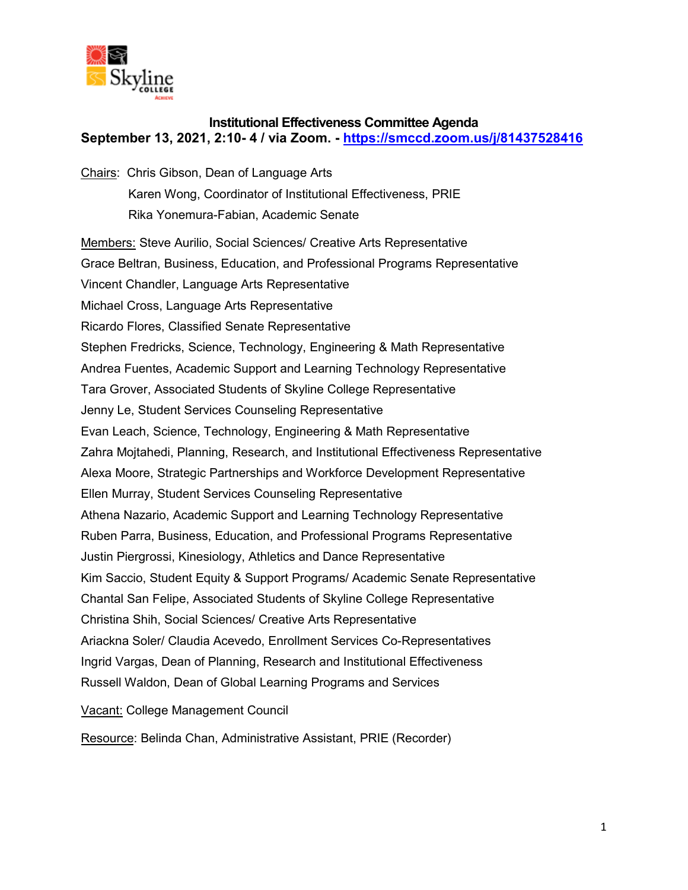

# **Institutional Effectiveness Committee Agenda September 13, 2021, 2:10- 4 / via Zoom. -<https://smccd.zoom.us/j/81437528416>**

Chairs: Chris Gibson, Dean of Language Arts Karen Wong, Coordinator of Institutional Effectiveness, PRIE Rika Yonemura-Fabian, Academic Senate Members: Steve Aurilio, Social Sciences/ Creative Arts Representative Grace Beltran, Business, Education, and Professional Programs Representative Vincent Chandler, Language Arts Representative Michael Cross, Language Arts Representative Ricardo Flores, Classified Senate Representative Stephen Fredricks, Science, Technology, Engineering & Math Representative Andrea Fuentes, Academic Support and Learning Technology Representative Tara Grover, Associated Students of Skyline College Representative Jenny Le, Student Services Counseling Representative Evan Leach, Science, Technology, Engineering & Math Representative Zahra Mojtahedi, Planning, Research, and Institutional Effectiveness Representative Alexa Moore, Strategic Partnerships and Workforce Development Representative Ellen Murray, Student Services Counseling Representative Athena Nazario, Academic Support and Learning Technology Representative Ruben Parra, Business, Education, and Professional Programs Representative Justin Piergrossi, Kinesiology, Athletics and Dance Representative Kim Saccio, Student Equity & Support Programs/ Academic Senate Representative Chantal San Felipe, Associated Students of Skyline College Representative Christina Shih, Social Sciences/ Creative Arts Representative Ariackna Soler/ Claudia Acevedo, Enrollment Services Co-Representatives Ingrid Vargas, Dean of Planning, Research and Institutional Effectiveness Russell Waldon, Dean of Global Learning Programs and Services

## Vacant: College Management Council

Resource: Belinda Chan, Administrative Assistant, PRIE (Recorder)